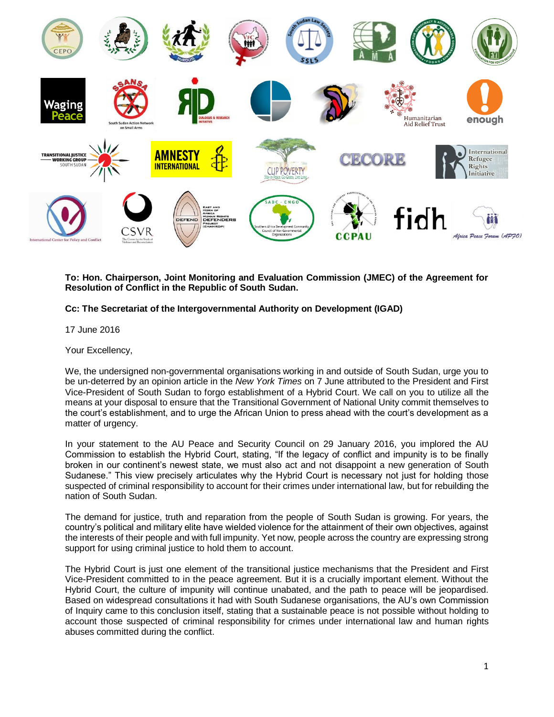

**To: Hon. Chairperson, Joint Monitoring and Evaluation Commission (JMEC) of the Agreement for Resolution of Conflict in the Republic of South Sudan.**

## **Cc: The Secretariat of the Intergovernmental Authority on Development (IGAD)**

17 June 2016

Your Excellency,

We, the undersigned non-governmental organisations working in and outside of South Sudan, urge you to be un-deterred by an opinion article in the *New York Times* on 7 June attributed to the President and First Vice-President of South Sudan to forgo establishment of a Hybrid Court. We call on you to utilize all the means at your disposal to ensure that the Transitional Government of National Unity commit themselves to the court's establishment, and to urge the African Union to press ahead with the court's development as a matter of urgency.

In your statement to the AU Peace and Security Council on 29 January 2016, you implored the AU Commission to establish the Hybrid Court, stating, "If the legacy of conflict and impunity is to be finally broken in our continent's newest state, we must also act and not disappoint a new generation of South Sudanese." This view precisely articulates why the Hybrid Court is necessary not just for holding those suspected of criminal responsibility to account for their crimes under international law, but for rebuilding the nation of South Sudan.

The demand for justice, truth and reparation from the people of South Sudan is growing. For years, the country's political and military elite have wielded violence for the attainment of their own objectives, against the interests of their people and with full impunity. Yet now, people across the country are expressing strong support for using criminal justice to hold them to account.

The Hybrid Court is just one element of the transitional justice mechanisms that the President and First Vice-President committed to in the peace agreement. But it is a crucially important element. Without the Hybrid Court, the culture of impunity will continue unabated, and the path to peace will be jeopardised. Based on widespread consultations it had with South Sudanese organisations, the AU's own Commission of Inquiry came to this conclusion itself, stating that a sustainable peace is not possible without holding to account those suspected of criminal responsibility for crimes under international law and human rights abuses committed during the conflict.